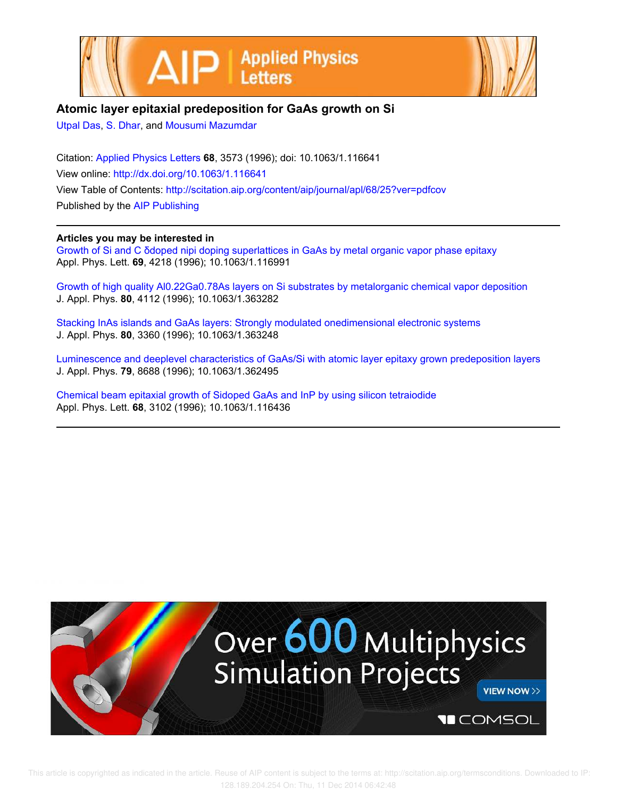



## **Atomic layer epitaxial predeposition for GaAs growth on Si**

Utpal Das, S. Dhar, and Mousumi Mazumdar

Citation: Applied Physics Letters **68**, 3573 (1996); doi: 10.1063/1.116641 View online: http://dx.doi.org/10.1063/1.116641 View Table of Contents: http://scitation.aip.org/content/aip/journal/apl/68/25?ver=pdfcov Published by the AIP Publishing

**Articles you may be interested in**

Growth of Si and C δdoped nipi doping superlattices in GaAs by metal organic vapor phase epitaxy Appl. Phys. Lett. **69**, 4218 (1996); 10.1063/1.116991

Growth of high quality Al0.22Ga0.78As layers on Si substrates by metalorganic chemical vapor deposition J. Appl. Phys. **80**, 4112 (1996); 10.1063/1.363282

Stacking InAs islands and GaAs layers: Strongly modulated onedimensional electronic systems J. Appl. Phys. **80**, 3360 (1996); 10.1063/1.363248

Luminescence and deeplevel characteristics of GaAs/Si with atomic layer epitaxy grown predeposition layers J. Appl. Phys. **79**, 8688 (1996); 10.1063/1.362495

Chemical beam epitaxial growth of Sidoped GaAs and InP by using silicon tetraiodide Appl. Phys. Lett. **68**, 3102 (1996); 10.1063/1.116436

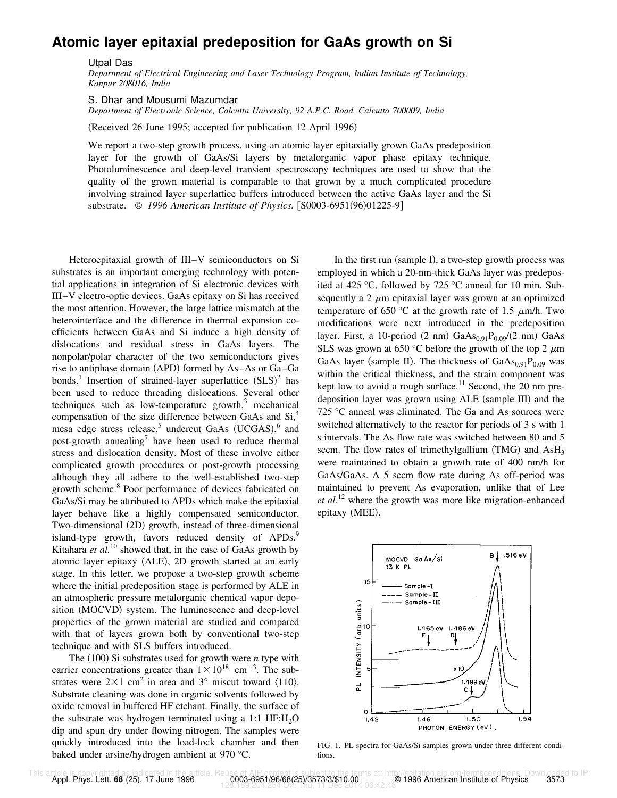## **Atomic layer epitaxial predeposition for GaAs growth on Si**

## Utpal Das

*Department of Electrical Engineering and Laser Technology Program, Indian Institute of Technology, Kanpur 208016, India*

S. Dhar and Mousumi Mazumdar

*Department of Electronic Science, Calcutta University, 92 A.P.C. Road, Calcutta 700009, India*

(Received 26 June 1995; accepted for publication 12 April 1996)

We report a two-step growth process, using an atomic layer epitaxially grown GaAs predeposition layer for the growth of GaAs/Si layers by metalorganic vapor phase epitaxy technique. Photoluminescence and deep-level transient spectroscopy techniques are used to show that the quality of the grown material is comparable to that grown by a much complicated procedure involving strained layer superlattice buffers introduced between the active GaAs layer and the Si substrate. © 1996 American Institute of Physics. [S0003-6951(96)01225-9]

Heteroepitaxial growth of III–V semiconductors on Si substrates is an important emerging technology with potential applications in integration of Si electronic devices with III–V electro-optic devices. GaAs epitaxy on Si has received the most attention. However, the large lattice mismatch at the heterointerface and the difference in thermal expansion coefficients between GaAs and Si induce a high density of dislocations and residual stress in GaAs layers. The nonpolar/polar character of the two semiconductors gives rise to antiphase domain (APD) formed by As–As or Ga–Ga bonds.<sup>1</sup> Insertion of strained-layer superlattice  $(SLS)^2$  has been used to reduce threading dislocations. Several other techniques such as low-temperature growth, $3$  mechanical compensation of the size difference between GaAs and Si,<sup>4</sup> mesa edge stress release,<sup>5</sup> undercut GaAs (UCGAS),<sup>6</sup> and post-growth annealing<sup>7</sup> have been used to reduce thermal stress and dislocation density. Most of these involve either complicated growth procedures or post-growth processing although they all adhere to the well-established two-step growth scheme.<sup>8</sup> Poor performance of devices fabricated on GaAs/Si may be attributed to APDs which make the epitaxial layer behave like a highly compensated semiconductor. Two-dimensional (2D) growth, instead of three-dimensional island-type growth, favors reduced density of APDs.<sup>9</sup> Kitahara *et al.*<sup>10</sup> showed that, in the case of GaAs growth by atomic layer epitaxy (ALE), 2D growth started at an early stage. In this letter, we propose a two-step growth scheme where the initial predeposition stage is performed by ALE in an atmospheric pressure metalorganic chemical vapor deposition (MOCVD) system. The luminescence and deep-level properties of the grown material are studied and compared with that of layers grown both by conventional two-step technique and with SLS buffers introduced.

The  $(100)$  Si substrates used for growth were *n* type with carrier concentrations greater than  $1 \times 10^{18}$  cm<sup>-3</sup>. The substrates were  $2 \times 1$  cm<sup>2</sup> in area and 3° miscut toward  $\langle 110 \rangle$ . Substrate cleaning was done in organic solvents followed by oxide removal in buffered HF etchant. Finally, the surface of the substrate was hydrogen terminated using a 1:1  $HF:H<sub>2</sub>O$ dip and spun dry under flowing nitrogen. The samples were quickly introduced into the load-lock chamber and then baked under arsine/hydrogen ambient at 970 °C.

In the first run (sample I), a two-step growth process was employed in which a 20-nm-thick GaAs layer was predeposited at 425 °C, followed by 725 °C anneal for 10 min. Subsequently a  $2 \mu m$  epitaxial layer was grown at an optimized temperature of 650 °C at the growth rate of 1.5  $\mu$ m/h. Two modifications were next introduced in the predeposition layer. First, a 10-period  $(2 \text{ nm})$  GaAs<sub>0.91</sub>P<sub>0.09</sub>/ $(2 \text{ nm})$  GaAs SLS was grown at 650 °C before the growth of the top 2  $\mu$ m GaAs layer (sample II). The thickness of  $GaAs<sub>0.91</sub>P<sub>0.09</sub>$  was within the critical thickness, and the strain component was kept low to avoid a rough surface.<sup>11</sup> Second, the 20 nm predeposition layer was grown using ALE (sample III) and the 725 °C anneal was eliminated. The Ga and As sources were switched alternatively to the reactor for periods of 3 s with 1 s intervals. The As flow rate was switched between 80 and 5 sccm. The flow rates of trimethylgallium  $(TMG)$  and  $AsH<sub>3</sub>$ were maintained to obtain a growth rate of 400 nm/h for GaAs/GaAs. A 5 sccm flow rate during As off-period was maintained to prevent As evaporation, unlike that of Lee *et al.*<sup>12</sup> where the growth was more like migration-enhanced epitaxy (MEE).



FIG. 1. PL spectra for GaAs/Si samples grown under three different conditions.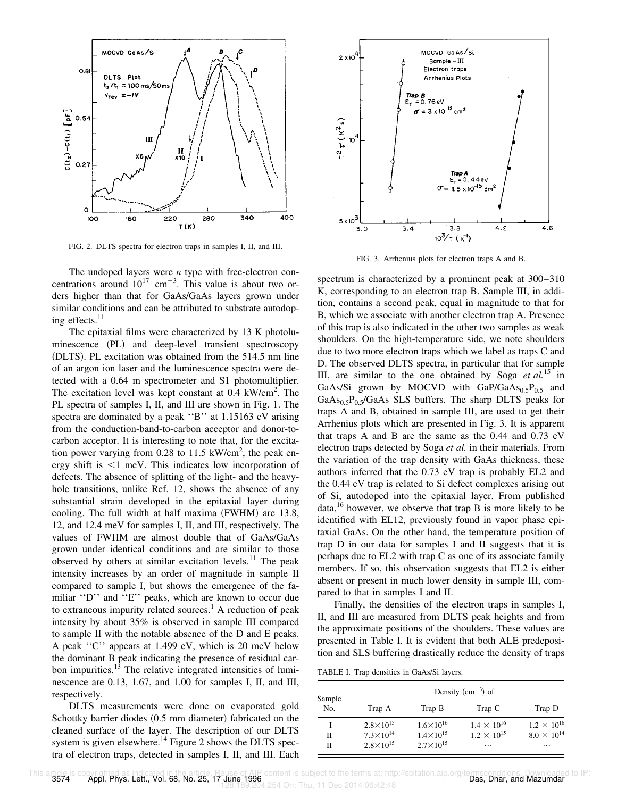

FIG. 2. DLTS spectra for electron traps in samples I, II, and III.

The undoped layers were *n* type with free-electron concentrations around  $10^{17}$  cm<sup>-3</sup>. This value is about two orders higher than that for GaAs/GaAs layers grown under similar conditions and can be attributed to substrate autodoping effects.<sup>11</sup>

The epitaxial films were characterized by 13 K photoluminescence (PL) and deep-level transient spectroscopy (DLTS). PL excitation was obtained from the 514.5 nm line of an argon ion laser and the luminescence spectra were detected with a 0.64 m spectrometer and S1 photomultiplier. The excitation level was kept constant at  $0.4 \text{ kW/cm}^2$ . The PL spectra of samples I, II, and III are shown in Fig. 1. The spectra are dominated by a peak "B" at 1.15163 eV arising from the conduction-band-to-carbon acceptor and donor-tocarbon acceptor. It is interesting to note that, for the excitation power varying from 0.28 to 11.5 kW/cm<sup>2</sup>, the peak energy shift is  $\leq 1$  meV. This indicates low incorporation of defects. The absence of splitting of the light- and the heavyhole transitions, unlike Ref. 12, shows the absence of any substantial strain developed in the epitaxial layer during cooling. The full width at half maxima  $(FWHM)$  are 13.8, 12, and 12.4 meV for samples I, II, and III, respectively. The values of FWHM are almost double that of GaAs/GaAs grown under identical conditions and are similar to those observed by others at similar excitation levels.<sup>11</sup> The peak intensity increases by an order of magnitude in sample II compared to sample I, but shows the emergence of the familiar "D" and "E" peaks, which are known to occur due to extraneous impurity related sources.<sup>1</sup> A reduction of peak intensity by about 35% is observed in sample III compared to sample II with the notable absence of the D and E peaks. A peak ''C'' appears at 1.499 eV, which is 20 meV below the dominant B peak indicating the presence of residual carbon impurities.<sup>13</sup> The relative integrated intensities of luminescence are 0.13, 1.67, and 1.00 for samples I, II, and III, respectively.

DLTS measurements were done on evaporated gold Schottky barrier diodes  $(0.5 \text{ mm diameter})$  fabricated on the cleaned surface of the layer. The description of our DLTS system is given elsewhere.<sup>14</sup> Figure 2 shows the DLTS spectra of electron traps, detected in samples I, II, and III. Each



FIG. 3. Arrhenius plots for electron traps A and B.

spectrum is characterized by a prominent peak at 300–310 K, corresponding to an electron trap B. Sample III, in addition, contains a second peak, equal in magnitude to that for B, which we associate with another electron trap A. Presence of this trap is also indicated in the other two samples as weak shoulders. On the high-temperature side, we note shoulders due to two more electron traps which we label as traps C and D. The observed DLTS spectra, in particular that for sample III, are similar to the one obtained by Soga *et al.*<sup>15</sup> in GaAs/Si grown by MOCVD with GaP/GaAs<sub>0.5</sub>P<sub>0.5</sub> and  $GaAs<sub>0.5</sub>P<sub>0.5</sub>/GaAs SLS buffers. The sharp DLTS peaks for$ traps A and B, obtained in sample III, are used to get their Arrhenius plots which are presented in Fig. 3. It is apparent that traps A and B are the same as the 0.44 and 0.73 eV electron traps detected by Soga *et al.* in their materials. From the variation of the trap density with GaAs thickness, these authors inferred that the 0.73 eV trap is probably EL2 and the 0.44 eV trap is related to Si defect complexes arising out of Si, autodoped into the epitaxial layer. From published  $data<sub>16</sub>$  however, we observe that trap B is more likely to be identified with EL12, previously found in vapor phase epitaxial GaAs. On the other hand, the temperature position of trap D in our data for samples I and II suggests that it is perhaps due to EL2 with trap C as one of its associate family members. If so, this observation suggests that EL2 is either absent or present in much lower density in sample III, compared to that in samples I and II.

Finally, the densities of the electron traps in samples I, II, and III are measured from DLTS peak heights and from the approximate positions of the shoulders. These values are presented in Table I. It is evident that both ALE predeposition and SLS buffering drastically reduce the density of traps

TABLE I. Trap densities in GaAs/Si layers.

| Sample<br>No. | Density $(cm-3)$ of  |                      |                      |                      |
|---------------|----------------------|----------------------|----------------------|----------------------|
|               | Trap A               | Trap B               | Trap C               | Trap D               |
| I             | $2.8 \times 10^{15}$ | $1.6\times10^{16}$   | $1.4 \times 10^{16}$ | $1.2 \times 10^{16}$ |
| П             | $7.3 \times 10^{14}$ | $1.4 \times 10^{15}$ | $1.2 \times 10^{15}$ | $8.0 \times 10^{14}$ |
| П             | $2.8 \times 10^{15}$ | $2.7 \times 10^{15}$ | .                    | $\cdots$             |